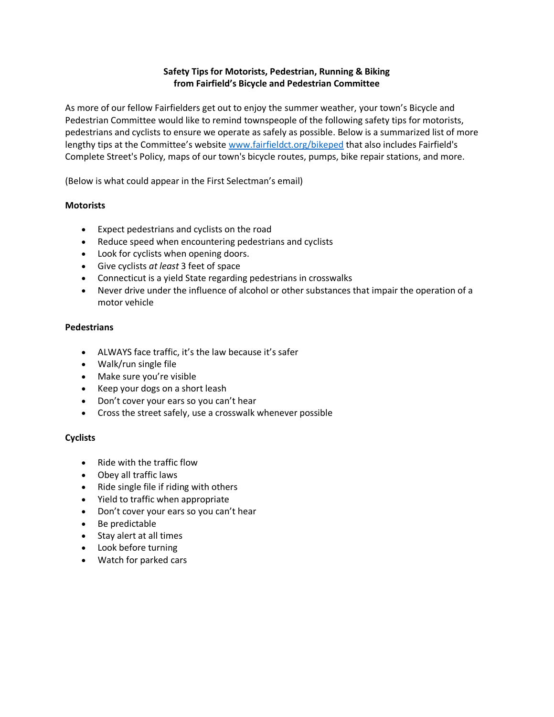## **Safety Tips for Motorists, Pedestrian, Running & Biking from Fairfield's Bicycle and Pedestrian Committee**

As more of our fellow Fairfielders get out to enjoy the summer weather, your town's Bicycle and Pedestrian Committee would like to remind townspeople of the following safety tips for motorists, pedestrians and cyclists to ensure we operate as safely as possible. Below is a summarized list of more lengthy tips at the Committee's website [www.fairfieldct.org/bikeped](http://www.fairfieldct.org/bikeped) that also includes Fairfield's Complete Street's Policy, maps of our town's bicycle routes, pumps, bike repair stations, and more.

(Below is what could appear in the First Selectman's email)

## **Motorists**

- Expect pedestrians and cyclists on the road
- Reduce speed when encountering pedestrians and cyclists
- Look for cyclists when opening doors.
- Give cyclists *at least* 3 feet of space
- Connecticut is a yield State regarding pedestrians in crosswalks
- Never drive under the influence of alcohol or other substances that impair the operation of a motor vehicle

#### **Pedestrians**

- ALWAYS face traffic, it's the law because it's safer
- Walk/run single file
- Make sure you're visible
- Keep your dogs on a short leash
- Don't cover your ears so you can't hear
- Cross the street safely, use a crosswalk whenever possible

## **Cyclists**

- Ride with the traffic flow
- Obey all traffic laws
- Ride single file if riding with others
- Yield to traffic when appropriate
- Don't cover your ears so you can't hear
- Be predictable
- Stay alert at all times
- Look before turning
- Watch for parked cars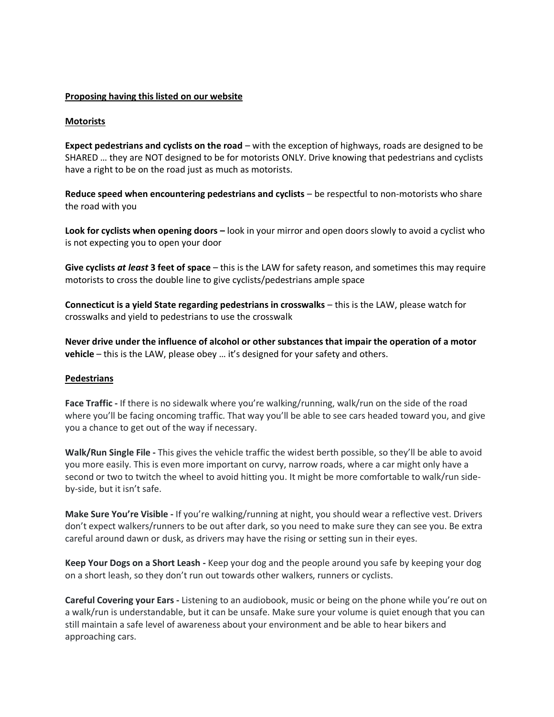## **Proposing having this listed on our website**

#### **Motorists**

**Expect pedestrians and cyclists on the road** – with the exception of highways, roads are designed to be SHARED … they are NOT designed to be for motorists ONLY. Drive knowing that pedestrians and cyclists have a right to be on the road just as much as motorists.

**Reduce speed when encountering pedestrians and cyclists** – be respectful to non-motorists who share the road with you

**Look for cyclists when opening doors –** look in your mirror and open doors slowly to avoid a cyclist who is not expecting you to open your door

**Give cyclists** *at least* **3 feet of space** – this is the LAW for safety reason, and sometimes this may require motorists to cross the double line to give cyclists/pedestrians ample space

**Connecticut is a yield State regarding pedestrians in crosswalks** – this is the LAW, please watch for crosswalks and yield to pedestrians to use the crosswalk

**Never drive under the influence of alcohol or other substances that impair the operation of a motor vehicle** – this is the LAW, please obey … it's designed for your safety and others.

#### **Pedestrians**

**Face Traffic -** If there is no sidewalk where you're walking/running, walk/run on the side of the road where you'll be facing oncoming traffic. That way you'll be able to see cars headed toward you, and give you a chance to get out of the way if necessary.

**Walk/Run Single File -** This gives the vehicle traffic the widest berth possible, so they'll be able to avoid you more easily. This is even more important on curvy, narrow roads, where a car might only have a second or two to twitch the wheel to avoid hitting you. It might be more comfortable to walk/run sideby-side, but it isn't safe.

**Make Sure You're Visible -** If you're walking/running at night, you should wear a reflective vest. Drivers don't expect walkers/runners to be out after dark, so you need to make sure they can see you. Be extra careful around dawn or dusk, as drivers may have the rising or setting sun in their eyes.

**Keep Your Dogs on a Short Leash -** Keep your dog and the people around you safe by keeping your dog on a short leash, so they don't run out towards other walkers, runners or cyclists.

**Careful Covering your Ears -** Listening to an audiobook, music or being on the phone while you're out on a walk/run is understandable, but it can be unsafe. Make sure your volume is quiet enough that you can still maintain a safe level of awareness about your environment and be able to hear bikers and approaching cars.